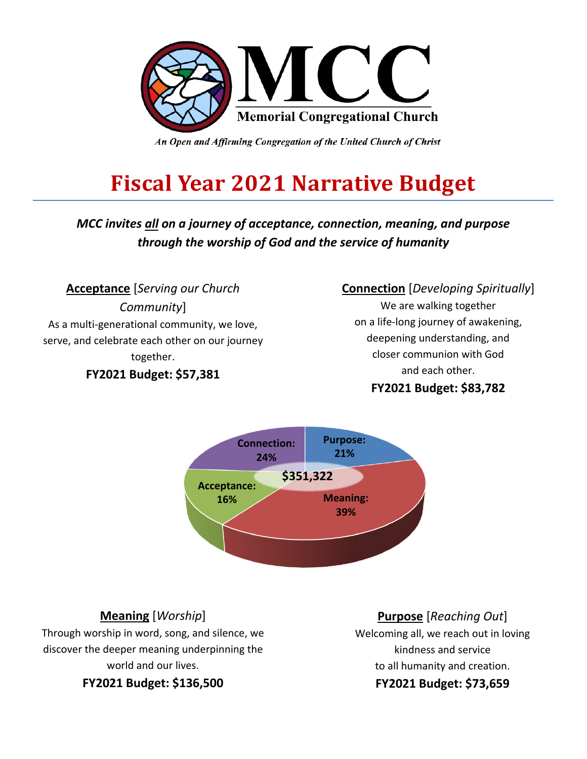

An Open and Affirming Congregation of the United Church of Christ

# **Fiscal Year 2021 Narrative Budget**

*MCC invites all on a journey of acceptance, connection, meaning, and purpose through the worship of God and the service of humanity*

**Acceptance** [*Serving our Church Community*] As a multi-generational community, we love, serve, and celebrate each other on our journey together. **FY2021 Budget: \$57,381**

### **Connection** [*Developing Spiritually*]

We are walking together on a life-long journey of awakening, deepening understanding, and closer communion with God and each other.

### **FY2021 Budget: \$83,782**



### **Meaning** [*Worship*]

Through worship in word, song, and silence, we discover the deeper meaning underpinning the world and our lives.

**FY2021 Budget: \$136,500**

### **Purpose** [*Reaching Out*]

Welcoming all, we reach out in loving kindness and service to all humanity and creation. **FY2021 Budget: \$73,659**